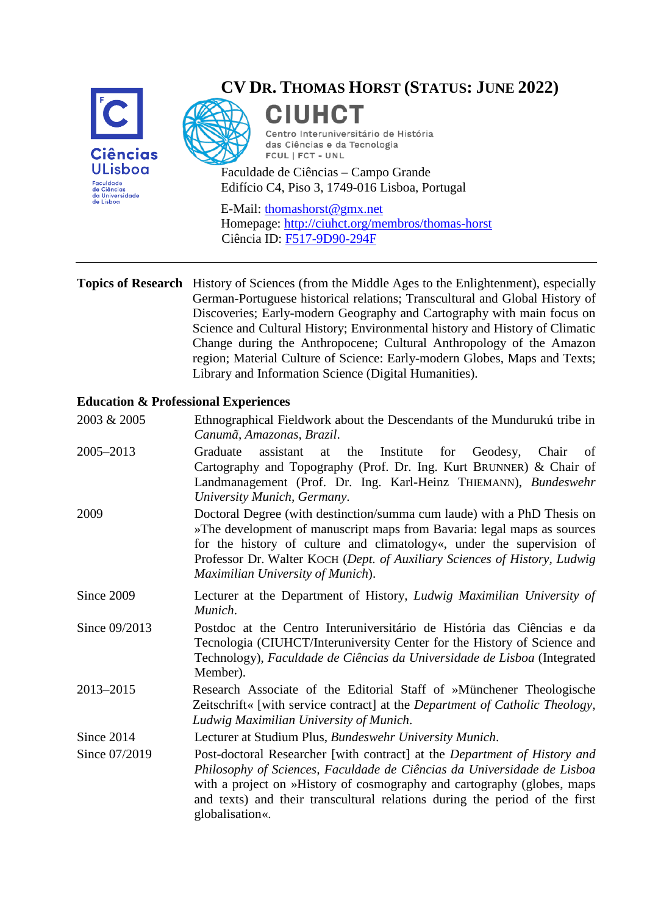

# **CV DR. THOMAS HORST (STATUS: JUNE 2022)**

**CIUHCT** Centro Interuniversitário de História das Ciências e da Tecnologia FCUL | FCT - UNL

Faculdade de Ciências – Campo Grande Edifício C4, Piso 3, 1749-016 Lisboa, Portugal

E-Mail: [thomashorst@gmx.net](mailto:thomashorst@gmx.net#) Homepage:<http://ciuhct.org/membros/thomas-horst> Ciência ID: [F517-9D90-294F](http://www.cienciavitae.pt/F517-9D90-294F)

#### **Topics of Research** History of Sciences (from the Middle Ages to the Enlightenment), especially German-Portuguese historical relations; Transcultural and Global History of Discoveries; Early-modern Geography and Cartography with main focus on Science and Cultural History; Environmental history and History of Climatic Change during the Anthropocene; Cultural Anthropology of the Amazon region; Material Culture of Science: Early-modern Globes, Maps and Texts; Library and Information Science (Digital Humanities).

2003 & 2005 Ethnographical Fieldwork about the Descendants of the Mundurukú tribe in

#### **Education & Professional Experiences**

| $\alpha$ . The statement is not a contracted by the statement of the interaction of the statement of $\alpha$<br>Canumã, Amazonas, Brazil.                                                                                                                                                                                                    |
|-----------------------------------------------------------------------------------------------------------------------------------------------------------------------------------------------------------------------------------------------------------------------------------------------------------------------------------------------|
| assistant<br>Graduate<br>the<br>Institute<br>for Geodesy,<br>Chair<br>at<br>of<br>Cartography and Topography (Prof. Dr. Ing. Kurt BRUNNER) & Chair of<br>Landmanagement (Prof. Dr. Ing. Karl-Heinz THIEMANN), Bundeswehr<br>University Munich, Germany.                                                                                       |
| Doctoral Degree (with destinction/summa cum laude) with a PhD Thesis on<br>»The development of manuscript maps from Bavaria: legal maps as sources<br>for the history of culture and climatology«, under the supervision of<br>Professor Dr. Walter KOCH (Dept. of Auxiliary Sciences of History, Ludwig<br>Maximilian University of Munich). |
| Lecturer at the Department of History, Ludwig Maximilian University of<br>Munich.                                                                                                                                                                                                                                                             |
| Postdoc at the Centro Interuniversitário de História das Ciências e da<br>Tecnologia (CIUHCT/Interuniversity Center for the History of Science and<br>Technology), Faculdade de Ciências da Universidade de Lisboa (Integrated<br>Member).                                                                                                    |
| Research Associate of the Editorial Staff of »Münchener Theologische<br>Zeitschrift« [with service contract] at the <i>Department of Catholic Theology</i> ,<br>Ludwig Maximilian University of Munich.                                                                                                                                       |
| Lecturer at Studium Plus, Bundeswehr University Munich.                                                                                                                                                                                                                                                                                       |
| Post-doctoral Researcher [with contract] at the Department of History and<br>Philosophy of Sciences, Faculdade de Ciências da Universidade de Lisboa<br>with a project on »History of cosmography and cartography (globes, maps<br>and texts) and their transcultural relations during the period of the first<br>globalisation«.             |
|                                                                                                                                                                                                                                                                                                                                               |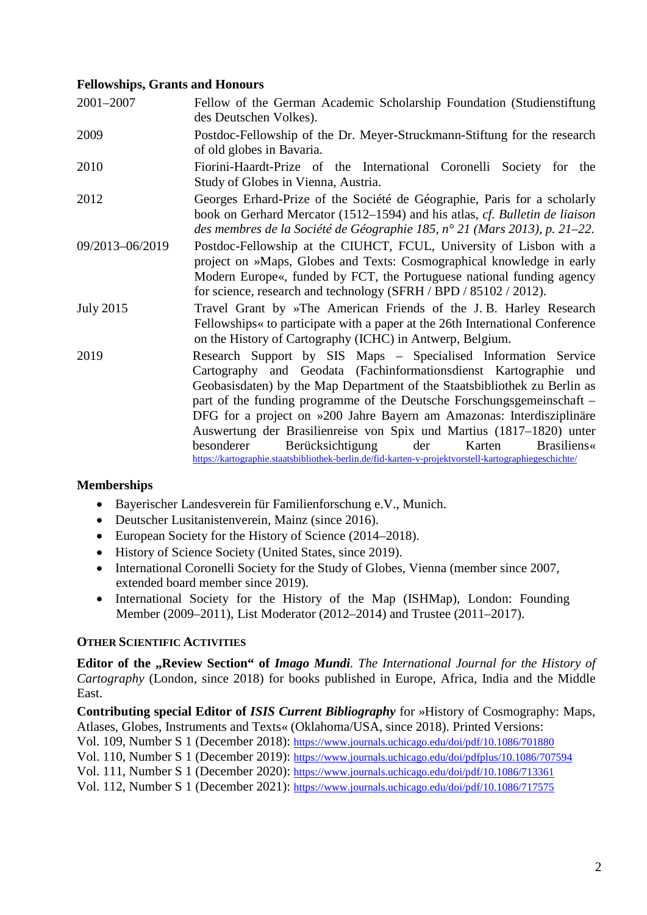### **Fellowships, Grants and Honours**

| 2001-2007        | Fellow of the German Academic Scholarship Foundation (Studienstiftung<br>des Deutschen Volkes).                                                                                                                                                                                                                                                                                                                                                                                                                                                                                                                            |
|------------------|----------------------------------------------------------------------------------------------------------------------------------------------------------------------------------------------------------------------------------------------------------------------------------------------------------------------------------------------------------------------------------------------------------------------------------------------------------------------------------------------------------------------------------------------------------------------------------------------------------------------------|
| 2009             | Postdoc-Fellowship of the Dr. Meyer-Struckmann-Stiftung for the research<br>of old globes in Bavaria.                                                                                                                                                                                                                                                                                                                                                                                                                                                                                                                      |
| 2010             | Fiorini-Haardt-Prize of the International Coronelli Society for the<br>Study of Globes in Vienna, Austria.                                                                                                                                                                                                                                                                                                                                                                                                                                                                                                                 |
| 2012             | Georges Erhard-Prize of the Société de Géographie, Paris for a scholarly<br>book on Gerhard Mercator (1512–1594) and his atlas, cf. Bulletin de liaison<br>des membres de la Société de Géographie 185, n° 21 (Mars 2013), p. 21–22.                                                                                                                                                                                                                                                                                                                                                                                       |
| 09/2013-06/2019  | Postdoc-Fellowship at the CIUHCT, FCUL, University of Lisbon with a<br>project on »Maps, Globes and Texts: Cosmographical knowledge in early<br>Modern Europe«, funded by FCT, the Portuguese national funding agency<br>for science, research and technology (SFRH / BPD / 85102 / 2012).                                                                                                                                                                                                                                                                                                                                 |
| <b>July 2015</b> | Travel Grant by »The American Friends of the J.B. Harley Research<br>Fellowships« to participate with a paper at the 26th International Conference<br>on the History of Cartography (ICHC) in Antwerp, Belgium.                                                                                                                                                                                                                                                                                                                                                                                                            |
| 2019             | Research Support by SIS Maps - Specialised Information Service<br>Cartography and Geodata (Fachinformationsdienst Kartographie und<br>Geobasisdaten) by the Map Department of the Staatsbibliothek zu Berlin as<br>part of the funding programme of the Deutsche Forschungsgemeinschaft –<br>DFG for a project on »200 Jahre Bayern am Amazonas: Interdisziplinäre<br>Auswertung der Brasilienreise von Spix und Martius (1817–1820) unter<br>Berücksichtigung<br>besonderer<br>der<br>Karten<br><b>Brasiliens</b><br>https://kartographie.staatsbibliothek-berlin.de/fid-karten-v-projektvorstell-kartographiegeschichte/ |

## **Memberships**

- Bayerischer Landesverein für Familienforschung e.V., Munich.
- Deutscher Lusitanistenverein, Mainz (since 2016).
- European Society for the History of Science (2014–2018).
- History of Science Society (United States, since 2019).
- International Coronelli Society for the Study of Globes, Vienna (member since 2007, extended board member since 2019).
- International Society for the History of the Map (ISHMap), London: Founding Member (2009–2011), List Moderator (2012–2014) and Trustee (2011–2017).

## **OTHER SCIENTIFIC ACTIVITIES**

**Editor of the "Review Section" of** *Imago Mundi*. The International Journal for the History of *Cartography* (London, since 2018) for books published in Europe, Africa, India and the Middle East.

**Contributing special Editor of** *ISIS Current Bibliography* for »History of Cosmography: Maps, Atlases, Globes, Instruments and Texts« (Oklahoma/USA, since 2018). Printed Versions: Vol. 109, Number S 1 (December 2018):<https://www.journals.uchicago.edu/doi/pdf/10.1086/701880>

Vol. 110, Number S 1 (December 2019):<https://www.journals.uchicago.edu/doi/pdfplus/10.1086/707594>

Vol. 111, Number S 1 (December 2020):<https://www.journals.uchicago.edu/doi/pdf/10.1086/713361>

Vol. 112, Number S 1 (December 2021):<https://www.journals.uchicago.edu/doi/pdf/10.1086/717575>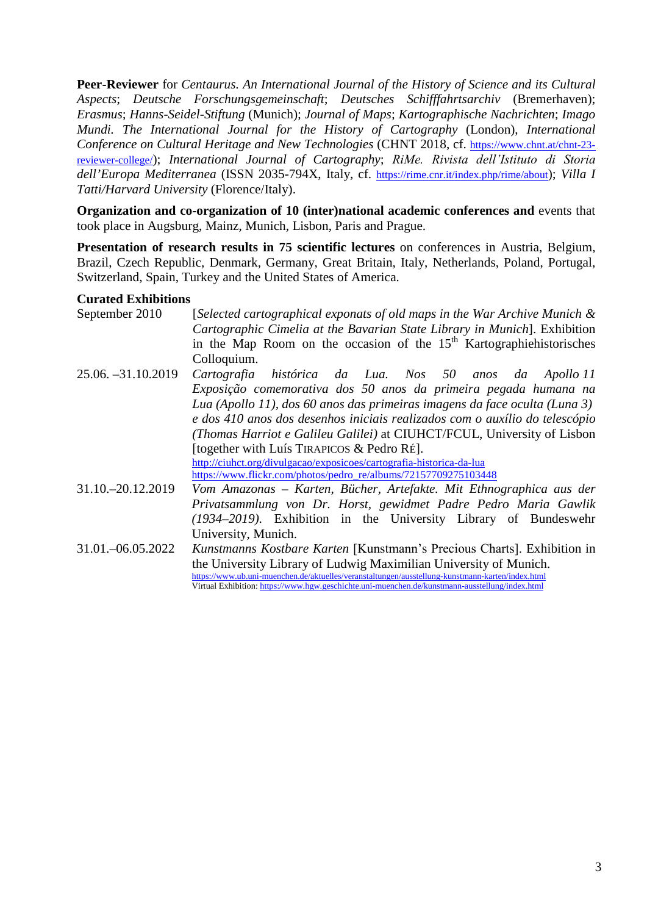**Peer-Reviewer** for *Centaurus. An International Journal of the History of Science and its Cultural Aspects*; *Deutsche Forschungsgemeinschaft*; *Deutsches Schifffahrtsarchiv* (Bremerhaven); *Erasmus*; *Hanns-Seidel-Stiftung* (Munich); *Journal of Maps*; *Kartographische Nachrichten*; *Imago Mundi. The International Journal for the History of Cartography* (London), *International Conference on Cultural Heritage and New Technologies* (CHNT 2018, cf. [https://www.chnt.at/chnt-23](https://www.chnt.at/chnt-23-reviewer-college/) [reviewer-college/\)](https://www.chnt.at/chnt-23-reviewer-college/); *International Journal of Cartography*; *RiMe. Rivista dell'Istituto di Storia dell'Europa Mediterranea* (ISSN 2035-794X, Italy, cf. [https://rime.cnr.it/index.php/rime/about\)](https://rime.cnr.it/index.php/rime/about); *Villa I Tatti/Harvard University* (Florence/Italy).

**Organization and co-organization of 10 (inter)national academic conferences and** events that took place in Augsburg, Mainz, Munich, Lisbon, Paris and Prague.

**Presentation of research results in 75 scientific lectures** on conferences in Austria, Belgium, Brazil, Czech Republic, Denmark, Germany, Great Britain, Italy, Netherlands, Poland, Portugal, Switzerland, Spain, Turkey and the United States of America.

### **Curated Exhibitions**

| September 2010      | [Selected cartographical exponats of old maps in the War Archive Munich $\&$                     |
|---------------------|--------------------------------------------------------------------------------------------------|
|                     | Cartographic Cimelia at the Bavarian State Library in Munich]. Exhibition                        |
|                     | in the Map Room on the occasion of the $15th$ Kartographiehistorisches                           |
|                     | Colloquium.                                                                                      |
| 25.06. -31.10.2019  | Cartografia histórica da Lua. Nos 50 anos da Apollo II                                           |
|                     | Exposição comemorativa dos 50 anos da primeira pegada humana na                                  |
|                     | Lua (Apollo 11), dos 60 anos das primeiras imagens da face oculta (Luna 3)                       |
|                     | e dos 410 anos dos desenhos iniciais realizados com o auxílio do telescópio                      |
|                     | (Thomas Harriot e Galileu Galilei) at CIUHCT/FCUL, University of Lisbon                          |
|                     | [together with Luís TIRAPICOS $&$ Pedro RÉ].                                                     |
|                     | http://ciuhct.org/divulgacao/exposicoes/cartografia-historica-da-lua                             |
|                     | https://www.flickr.com/photos/pedro_re/albums/72157709275103448                                  |
| 31.10. - 20.12.2019 | Vom Amazonas – Karten, Bücher, Artefakte. Mit Ethnographica aus der                              |
|                     | Privatsammlung von Dr. Horst, gewidmet Padre Pedro Maria Gawlik                                  |
|                     | (1934–2019). Exhibition in the University Library of Bundeswehr                                  |
|                     | University, Munich.                                                                              |
| 31.01. - 06.05.2022 | Kunstmanns Kostbare Karten [Kunstmann's Precious Charts]. Exhibition in                          |
|                     | the University Library of Ludwig Maximilian University of Munich.                                |
|                     | https://www.ub.uni-muenchen.de/aktuelles/veranstaltungen/ausstellung-kunstmann-karten/index.html |
|                     | Virtual Exhibition: https://www.hgw.geschichte.uni-muenchen.de/kunstmann-ausstellung/index.html  |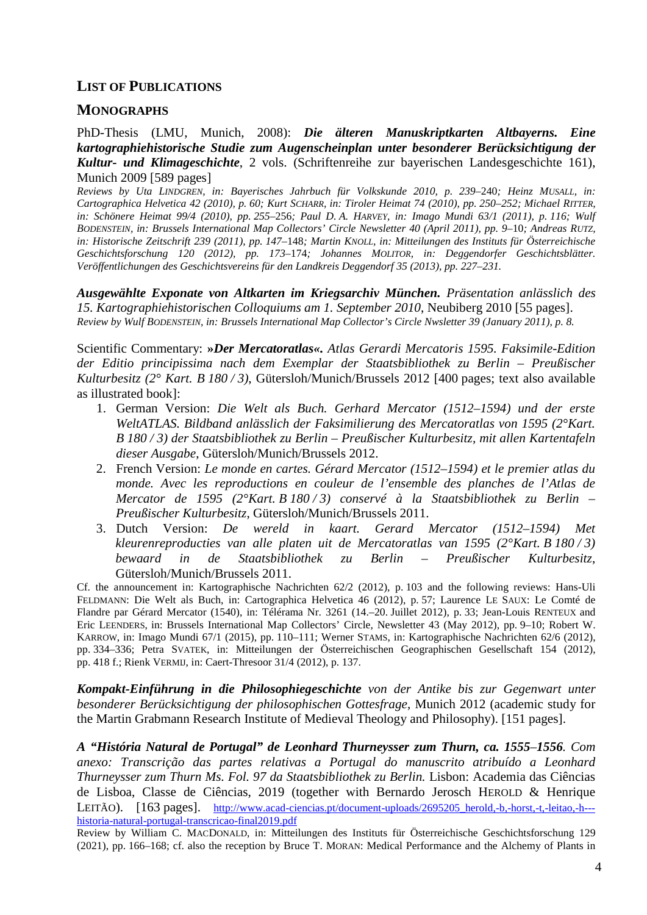### **LIST OF PUBLICATIONS**

#### **MONOGRAPHS**

PhD-Thesis (LMU, Munich, 2008): *Die älteren Manuskriptkarten Altbayerns. Eine kartographiehistorische Studie zum Augenscheinplan unter besonderer Berücksichtigung der Kultur- und Klimageschichte*, 2 vols. (Schriftenreihe zur bayerischen Landesgeschichte 161), Munich 2009 [589 pages]

*Reviews by Uta LINDGREN, in: Bayerisches Jahrbuch für Volkskunde 2010, p. 239*–240*; Heinz MUSALL, in: Cartographica Helvetica 42 (2010), p. 60; Kurt SCHARR, in: Tiroler Heimat 74 (2010), pp. 250*–*252; Michael RITTER, in: Schönere Heimat 99/4 (2010), pp. 255*–256*; Paul D. A. HARVEY, in: Imago Mundi 63/1 (2011), p. 116; Wulf BODENSTEIN, in: Brussels International Map Collectors' Circle Newsletter 40 (April 2011), pp. 9*–10*; Andreas RUTZ, in: Historische Zeitschrift 239 (2011), pp. 147*–148*; Martin KNOLL, in: Mitteilungen des Instituts für Österreichische Geschichtsforschung 120 (2012), pp. 173*–174*; Johannes MOLITOR, in: Deggendorfer Geschichtsblätter. Veröffentlichungen des Geschichtsvereins für den Landkreis Deggendorf 35 (2013), pp. 227*–*231.*

*Ausgewählte Exponate von Altkarten im Kriegsarchiv München. Präsentation anlässlich des 15. Kartographiehistorischen Colloquiums am 1. September 2010*, Neubiberg 2010 [55 pages]. *Review by Wulf BODENSTEIN, in: Brussels International Map Collector's Circle Nwsletter 39 (January 2011), p. 8.*

Scientific Commentary: **»***Der Mercatoratlas«. Atlas Gerardi Mercatoris 1595. Faksimile-Edition der Editio principissima nach dem Exemplar der Staatsbibliothek zu Berlin – Preußischer Kulturbesitz (2° Kart. B 180 / 3)*, Gütersloh/Munich/Brussels 2012 [400 pages; text also available as illustrated book]:

- 1. German Version: *Die Welt als Buch. Gerhard Mercator (1512*–*1594) und der erste WeltATLAS. Bildband anlässlich der Faksimilierung des Mercatoratlas von 1595 (2°Kart. B 180 / 3) der Staatsbibliothek zu Berlin – Preußischer Kulturbesitz, mit allen Kartentafeln dieser Ausgabe*, Gütersloh/Munich/Brussels 2012.
- 2. French Version: *Le monde en cartes. Gérard Mercator (1512*–*1594) et le premier atlas du monde. Avec les reproductions en couleur de l'ensemble des planches de l'Atlas de Mercator de 1595 (2°Kart. B 180 / 3) conservé à la Staatsbibliothek zu Berlin – Preußischer Kulturbesitz*, Gütersloh/Munich/Brussels 2011.
- 3. Dutch Version: *De wereld in kaart. Gerard Mercator (1512*–*1594) Met kleurenreproducties van alle platen uit de Mercatoratlas van 1595 (2°Kart. B 180 / 3) bewaard in de Staatsbibliothek zu Berlin – Preußischer Kulturbesitz*, Gütersloh/Munich/Brussels 2011.

Cf. the announcement in: Kartographische Nachrichten 62/2 (2012), p. 103 and the following reviews: Hans-Uli FELDMANN: Die Welt als Buch, in: Cartographica Helvetica 46 (2012), p. 57; Laurence LE SAUX: Le Comté de Flandre par Gérard Mercator (1540), in: Télérama Nr. 3261 (14.–20. Juillet 2012), p. 33; Jean-Louis RENTEUX and Eric LEENDERS, in: Brussels International Map Collectors' Circle, Newsletter 43 (May 2012), pp. 9–10; Robert W. KARROW, in: Imago Mundi 67/1 (2015), pp. 110–111; Werner STAMS, in: Kartographische Nachrichten 62/6 (2012), pp. 334–336; Petra SVATEK, in: Mitteilungen der Österreichischen Geographischen Gesellschaft 154 (2012), pp. 418 f.; Rienk VERMIJ, in: Caert-Thresoor 31/4 (2012), p. 137.

*Kompakt-Einführung in die Philosophiegeschichte von der Antike bis zur Gegenwart unter besonderer Berücksichtigung der philosophischen Gottesfrage*, Munich 2012 (academic study for the Martin Grabmann Research Institute of Medieval Theology and Philosophy). [151 pages].

*A "História Natural de Portugal" de Leonhard Thurneysser zum Thurn, ca. 1555–1556. Com anexo: Transcrição das partes relativas a Portugal do manuscrito atribuído a Leonhard Thurneysser zum Thurn Ms. Fol. 97 da Staatsbibliothek zu Berlin.* Lisbon: Academia das Ciências de Lisboa, Classe de Ciências, 2019 (together with Bernardo Jerosch HEROLD & Henrique LEITÃO). [163 pages]. [http://www.acad-ciencias.pt/document-uploads/2695205\\_herold,-b,-horst,-t,-leitao,-h--](http://www.acad-ciencias.pt/document-uploads/2695205_herold,-b,-horst,-t,-leitao,-h---historia-natural-portugal-transcricao-final2019.pdf) [historia-natural-portugal-transcricao-final2019.pdf](http://www.acad-ciencias.pt/document-uploads/2695205_herold,-b,-horst,-t,-leitao,-h---historia-natural-portugal-transcricao-final2019.pdf)

Review by William C. MACDONALD, in: Mitteilungen des Instituts für Österreichische Geschichtsforschung 129 (2021), pp. 166–168; cf. also the reception by Bruce T. MORAN: Medical Performance and the Alchemy of Plants in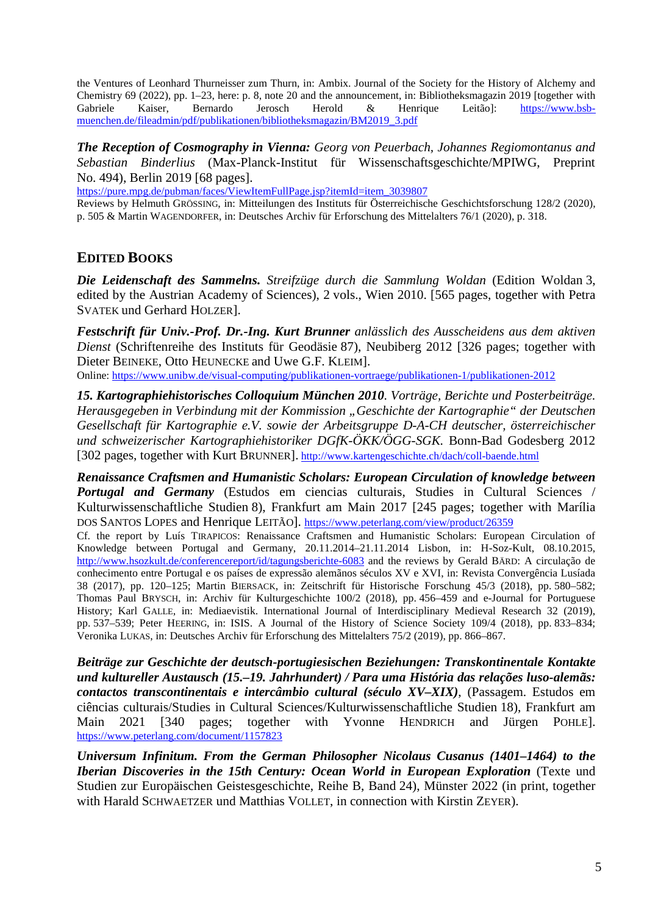the Ventures of Leonhard Thurneisser zum Thurn, in: Ambix. Journal of the Society for the History of Alchemy and Chemistry 69 (2022), pp. 1–23, here: p. 8, note 20 and the announcement, in: Bibliotheksmagazin 2019 [together with Gabriele Kaiser, Bernardo Jerosch Herold & Henrique Leitão]: [https://www.bsb](https://www.bsb-muenchen.de/fileadmin/pdf/publikationen/bibliotheksmagazin/BM2019_3.pdf)[muenchen.de/fileadmin/pdf/publikationen/bibliotheksmagazin/BM2019\\_3.pdf](https://www.bsb-muenchen.de/fileadmin/pdf/publikationen/bibliotheksmagazin/BM2019_3.pdf)

*The Reception of Cosmography in Vienna: Georg von Peuerbach, Johannes Regiomontanus and Sebastian Binderlius* (Max-Planck-Institut für Wissenschaftsgeschichte/MPIWG, Preprint No. 494), Berlin 2019 [68 pages].

[https://pure.mpg.de/pubman/faces/ViewItemFullPage.jsp?itemId=item\\_3039807](https://pure.mpg.de/pubman/faces/ViewItemFullPage.jsp?itemId=item_3039807)

Reviews by Helmuth GRÖSSING, in: Mitteilungen des Instituts für Österreichische Geschichtsforschung 128/2 (2020), p. 505 & Martin WAGENDORFER, in: Deutsches Archiv für Erforschung des Mittelalters 76/1 (2020), p. 318.

## **EDITED BOOKS**

*Die Leidenschaft des Sammelns. Streifzüge durch die Sammlung Woldan* (Edition Woldan 3, edited by the Austrian Academy of Sciences), 2 vols., Wien 2010. [565 pages, together with Petra SVATEK und Gerhard HOLZER].

*Festschrift für Univ.-Prof. Dr.-Ing. Kurt Brunner anlässlich des Ausscheidens aus dem aktiven Dienst* (Schriftenreihe des Instituts für Geodäsie 87), Neubiberg 2012 [326 pages; together with Dieter BEINEKE, Otto HEUNECKE and Uwe G.F. KLEIM].

Online:<https://www.unibw.de/visual-computing/publikationen-vortraege/publikationen-1/publikationen-2012>

*15. Kartographiehistorisches Colloquium München 2010. Vorträge, Berichte und Posterbeiträge. Herausgegeben in Verbindung mit der Kommission "Geschichte der Kartographie" der Deutschen Gesellschaft für Kartographie e.V. sowie der Arbeitsgruppe D-A-CH deutscher, österreichischer und schweizerischer Kartographiehistoriker DGfK-ÖKK/ÖGG-SGK.* Bonn-Bad Godesberg 2012 [302 pages, together with Kurt BRUNNER]. <http://www.kartengeschichte.ch/dach/coll-baende.html>

*Renaissance Craftsmen and Humanistic Scholars: European Circulation of knowledge between Portugal and Germany* (Estudos em ciencias culturais, Studies in Cultural Sciences / Kulturwissenschaftliche Studien 8), Frankfurt am Main 2017 [245 pages; together with Marília DOS SANTOS LOPES and Henrique LEITÃO].<https://www.peterlang.com/view/product/26359>

Cf. the report by Luís TIRAPICOS: Renaissance Craftsmen and Humanistic Scholars: European Circulation of Knowledge between Portugal and Germany, 20.11.2014–21.11.2014 Lisbon, in: H-Soz-Kult, 08.10.2015, <http://www.hsozkult.de/conferencereport/id/tagungsberichte-6083> and the reviews by Gerald BÄRD: A circulação de conhecimento entre Portugal e os países de expressão alemãnos séculos XV e XVI, in: Revista Convergência Lusíada 38 (2017), pp. 120–125; Martin BIERSACK, in: Zeitschrift für Historische Forschung 45/3 (2018), pp. 580–582; Thomas Paul BRYSCH, in: Archiv für Kulturgeschichte 100/2 (2018), pp. 456–459 and e-Journal for Portuguese History; Karl GALLE, in: Mediaevistik. International Journal of Interdisciplinary Medieval Research 32 (2019), pp. 537–539; Peter HEERING, in: ISIS. A Journal of the History of Science Society 109/4 (2018), pp. 833–834; Veronika LUKAS, in: Deutsches Archiv für Erforschung des Mittelalters 75/2 (2019), pp. 866–867.

*Beiträge zur Geschichte der deutsch-portugiesischen Beziehungen: Transkontinentale Kontakte und kultureller Austausch (15.–19. Jahrhundert) / Para uma História das relações luso-alemãs: contactos transcontinentais e intercâmbio cultural (século XV–XIX)*, (Passagem. Estudos em ciências culturais/Studies in Cultural Sciences/Kulturwissenschaftliche Studien 18), Frankfurt am Main 2021 [340 pages; together with Yvonne HENDRICH and Jürgen POHLE].<br><https://www.peterlang.com/document/1157823>

*Universum Infinitum. From the German Philosopher Nicolaus Cusanus (1401–1464) to the Iberian Discoveries in the 15th Century: Ocean World in European Exploration* (Texte und Studien zur Europäischen Geistesgeschichte, Reihe B, Band 24), Münster 2022 (in print, together with Harald SCHWAETZER und Matthias VOLLET, in connection with Kirstin ZEYER).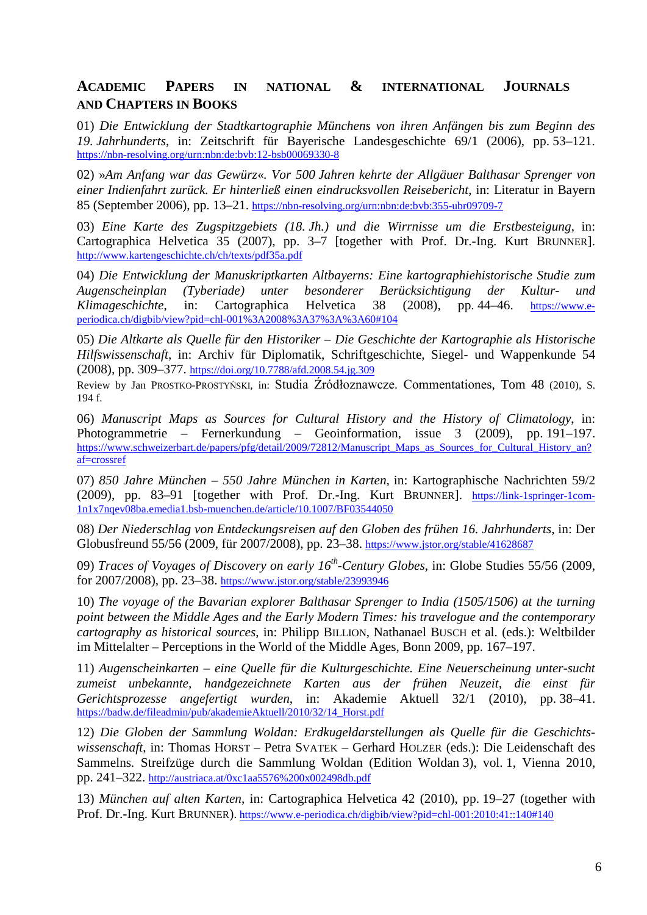## **ACADEMIC PAPERS IN NATIONAL & INTERNATIONAL JOURNALS AND CHAPTERS IN BOOKS**

01) *Die Entwicklung der Stadtkartographie Münchens von ihren Anfängen bis zum Beginn des 19. Jahrhunderts*, in: Zeitschrift für Bayerische Landesgeschichte 69/1 (2006), pp. 53–121. [https://nbn-resolving.org/urn:nbn:de:bvb:12-bsb00069330-8](https://nbn-resolving.org/urn:nbn:de:bvb:355-ubr09709-7)

02) »*Am Anfang war das Gewürz*«*. Vor 500 Jahren kehrte der Allgäuer Balthasar Sprenger von einer Indienfahrt zurück. Er hinterließ einen eindrucksvollen Reisebericht*, in: Literatur in Bayern 85 (September 2006), pp. 13–21. <https://nbn-resolving.org/urn:nbn:de:bvb:355-ubr09709-7>

03) *Eine Karte des Zugspitzgebiets (18. Jh.) und die Wirrnisse um die Erstbesteigung*, in: Cartographica Helvetica 35 (2007), pp. 3–7 [together with Prof. Dr.-Ing. Kurt BRUNNER]. <http://www.kartengeschichte.ch/ch/texts/pdf35a.pdf>

04) *Die Entwicklung der Manuskriptkarten Altbayerns: Eine kartographiehistorische Studie zum Augenscheinplan (Tyberiade) unter besonderer Berücksichtigung der Kultur- und Klimageschichte*, in: Cartographica Helvetica 38 (2008), pp. 44–46. [https://www.e](https://www.e-periodica.ch/digbib/view?pid=chl-001%3A2008%3A37%3A%3A60#104)[periodica.ch/digbib/view?pid=chl-001%3A2008%3A37%3A%3A60#104](https://www.e-periodica.ch/digbib/view?pid=chl-001%3A2008%3A37%3A%3A60#104)

05) *Die Altkarte als Quelle für den Historiker – Die Geschichte der Kartographie als Historische Hilfswissenschaft*, in: Archiv für Diplomatik, Schriftgeschichte, Siegel- und Wappenkunde 54 (2008), pp. 309–377. <https://doi.org/10.7788/afd.2008.54.jg.309>

Review by Jan PROSTKO-PROSTYŃSKI, in: [Studia Źródłoznawcze. Commentationes](https://bazhum.pl/bib/journal/52/)[, Tom 48](https://bazhum.pl/bib/journal/52/) (2010), S. 194 f.

06) *Manuscript Maps as Sources for Cultural History and the History of Climatology*, in: Photogrammetrie – Fernerkundung – Geoinformation, issue 3 (2009), pp. 191–197. [https://www.schweizerbart.de/papers/pfg/detail/2009/72812/Manuscript\\_Maps\\_as\\_Sources\\_for\\_Cultural\\_History\\_an?](https://www.schweizerbart.de/papers/pfg/detail/2009/72812/Manuscript_Maps_as_Sources_for_Cultural_History_an?af=crossref) [af=crossref](https://www.schweizerbart.de/papers/pfg/detail/2009/72812/Manuscript_Maps_as_Sources_for_Cultural_History_an?af=crossref)

07) *850 Jahre München – 550 Jahre München in Karten*, in: Kartographische Nachrichten 59/2 (2009), pp. 83–91 [together with Prof. Dr.-Ing. Kurt BRUNNER]. [https://link-1springer-1com-](https://link-1springer-1com-1n1x7nqev08ba.emedia1.bsb-muenchen.de/article/10.1007/BF03544050)[1n1x7nqev08ba.emedia1.bsb-muenchen.de/article/10.1007/BF03544050](https://link-1springer-1com-1n1x7nqev08ba.emedia1.bsb-muenchen.de/article/10.1007/BF03544050)

08) *Der Niederschlag von Entdeckungsreisen auf den Globen des frühen 16. Jahrhunderts*, in: Der Globusfreund 55/56 (2009, für 2007/2008), pp. 23–38. <https://www.jstor.org/stable/41628687>

09) *Traces of Voyages of Discovery on early 16th-Century Globes*, in: Globe Studies 55/56 (2009, for 2007/2008), pp. 23–38.<https://www.jstor.org/stable/23993946>

10) *The voyage of the Bavarian explorer Balthasar Sprenger to India (1505/1506) at the turning point between the Middle Ages and the Early Modern Times: his travelogue and the contemporary cartography as historical sources*, in: Philipp BILLION, Nathanael BUSCH et al. (eds.): Weltbilder im Mittelalter – Perceptions in the World of the Middle Ages, Bonn 2009, pp. 167–197.

11) *Augenscheinkarten – eine Quelle für die Kulturgeschichte. Eine Neuerscheinung unter-sucht zumeist unbekannte, handgezeichnete Karten aus der frühen Neuzeit, die einst für Gerichtsprozesse angefertigt wurden*, in: Akademie Aktuell 32/1 (2010), pp. 38–41. [https://badw.de/fileadmin/pub/akademieAktuell/2010/32/14\\_Horst.pdf](https://badw.de/fileadmin/pub/akademieAktuell/2010/32/14_Horst.pdf)

12) *Die Globen der Sammlung Woldan: Erdkugeldarstellungen als Quelle für die Geschichtswissenschaft*, in: Thomas HORST – Petra SVATEK – Gerhard HOLZER (eds.): Die Leidenschaft des Sammelns*.* Streifzüge durch die Sammlung Woldan (Edition Woldan 3), vol. 1, Vienna 2010, pp. 241–322. <http://austriaca.at/0xc1aa5576%200x002498db.pdf>

13) *München auf alten Karten*, in: Cartographica Helvetica 42 (2010), pp. 19–27 (together with Prof. Dr.-Ing. Kurt BRUNNER). <https://www.e-periodica.ch/digbib/view?pid=chl-001:2010:41::140#140>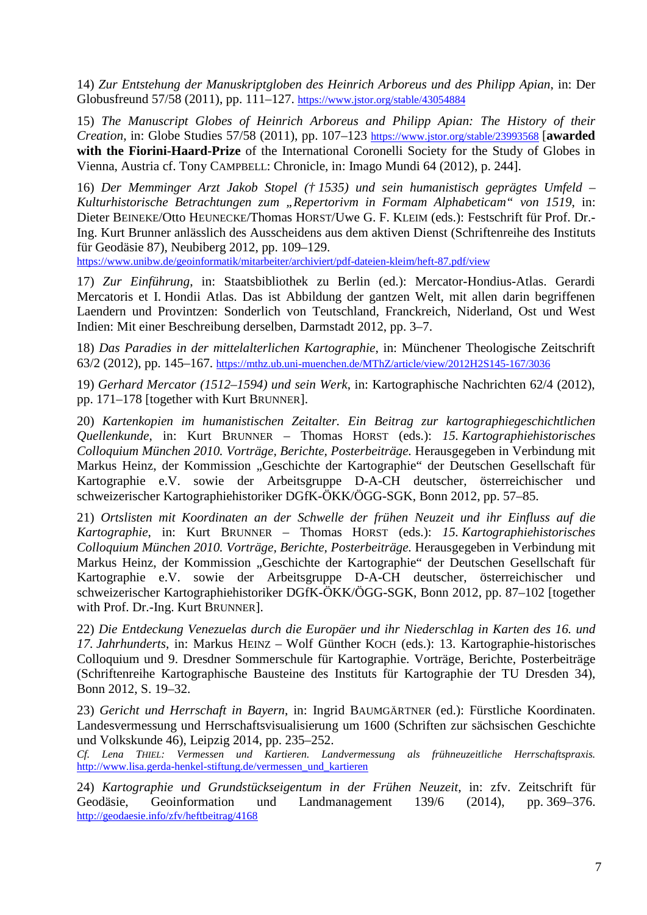14) *Zur Entstehung der Manuskriptgloben des Heinrich Arboreus und des Philipp Apian*, in: Der Globusfreund 57/58 (2011), pp. 111–127. <https://www.jstor.org/stable/43054884>

15) *The Manuscript Globes of Heinrich Arboreus and Philipp Apian: The History of their Creation*, in: Globe Studies 57/58 (2011), pp. 107–123<https://www.jstor.org/stable/23993568> [**awarded with the Fiorini-Haard-Prize** of the International Coronelli Society for the Study of Globes in Vienna, Austria cf. Tony CAMPBELL: Chronicle, in: Imago Mundi 64 (2012), p. 244].

16) *Der Memminger Arzt Jakob Stopel († 1535) und sein humanistisch geprägtes Umfeld – Kulturhistorische Betrachtungen zum "Repertorivm in Formam Alphabeticam" von 1519*, in: Dieter BEINEKE/Otto HEUNECKE/Thomas HORST/Uwe G. F. KLEIM (eds.): Festschrift für Prof. Dr.- Ing. Kurt Brunner anlässlich des Ausscheidens aus dem aktiven Dienst (Schriftenreihe des Instituts für Geodäsie 87), Neubiberg 2012, pp. 109–129.

<https://www.unibw.de/geoinformatik/mitarbeiter/archiviert/pdf-dateien-kleim/heft-87.pdf/view>

17) *Zur Einführung*, in: Staatsbibliothek zu Berlin (ed.): Mercator-Hondius-Atlas. Gerardi Mercatoris et I. Hondii Atlas. Das ist Abbildung der gantzen Welt, mit allen darin begriffenen Laendern und Provintzen: Sonderlich von Teutschland, Franckreich, Niderland, Ost und West Indien: Mit einer Beschreibung derselben, Darmstadt 2012, pp. 3–7.

18) *Das Paradies in der mittelalterlichen Kartographie*, in: Münchener Theologische Zeitschrift 63/2 (2012), pp. 145–167. <https://mthz.ub.uni-muenchen.de/MThZ/article/view/2012H2S145-167/3036>

19) *Gerhard Mercator (1512*–*1594) und sein Werk*, in: Kartographische Nachrichten 62/4 (2012), pp. 171–178 [together with Kurt BRUNNER].

20) *Kartenkopien im humanistischen Zeitalter. Ein Beitrag zur kartographiegeschichtlichen Quellenkunde*, in: Kurt BRUNNER – Thomas HORST (eds.): *15. Kartographiehistorisches Colloquium München 2010. Vorträge, Berichte, Posterbeiträge.* Herausgegeben in Verbindung mit Markus Heinz, der Kommission "Geschichte der Kartographie" der Deutschen Gesellschaft für Kartographie e.V. sowie der Arbeitsgruppe D-A-CH deutscher, österreichischer und schweizerischer Kartographiehistoriker DGfK-ÖKK/ÖGG-SGK, Bonn 2012, pp. 57–85.

21) *Ortslisten mit Koordinaten an der Schwelle der frühen Neuzeit und ihr Einfluss auf die Kartographie*, in: Kurt BRUNNER – Thomas HORST (eds.): *15. Kartographiehistorisches Colloquium München 2010. Vorträge, Berichte, Posterbeiträge.* Herausgegeben in Verbindung mit Markus Heinz, der Kommission "Geschichte der Kartographie" der Deutschen Gesellschaft für Kartographie e.V. sowie der Arbeitsgruppe D-A-CH deutscher, österreichischer und schweizerischer Kartographiehistoriker DGfK-ÖKK/ÖGG-SGK, Bonn 2012, pp. 87–102 [together with Prof. Dr.-Ing. Kurt BRUNNER].

22) *Die Entdeckung Venezuelas durch die Europäer und ihr Niederschlag in Karten des 16. und 17. Jahrhunderts*, in: Markus HEINZ – Wolf Günther KOCH (eds.): 13. Kartographie-historisches Colloquium und 9. Dresdner Sommerschule für Kartographie. Vorträge, Berichte, Posterbeiträge (Schriftenreihe Kartographische Bausteine des Instituts für Kartographie der TU Dresden 34), Bonn 2012, S. 19–32.

23) *Gericht und Herrschaft in Bayern*, in: Ingrid BAUMGÄRTNER (ed.): Fürstliche Koordinaten. Landesvermessung und Herrschaftsvisualisierung um 1600 (Schriften zur sächsischen Geschichte und Volkskunde 46), Leipzig 2014, pp. 235–252.

*Cf. Lena THIEL: Vermessen und Kartieren. Landvermessung als frühneuzeitliche Herrschaftspraxis.*  [http://www.lisa.gerda-henkel-stiftung.de/vermessen\\_und\\_kartieren](http://www.lisa.gerda-henkel-stiftung.de/vermessen_und_kartieren)

24) *Kartographie und Grundstückseigentum in der Frühen Neuzeit*, in: zfv. Zeitschrift für Geodäsie, Geoinformation und Landmanagement 139/6 (2014), pp. 369–376. <http://geodaesie.info/zfv/heftbeitrag/4168>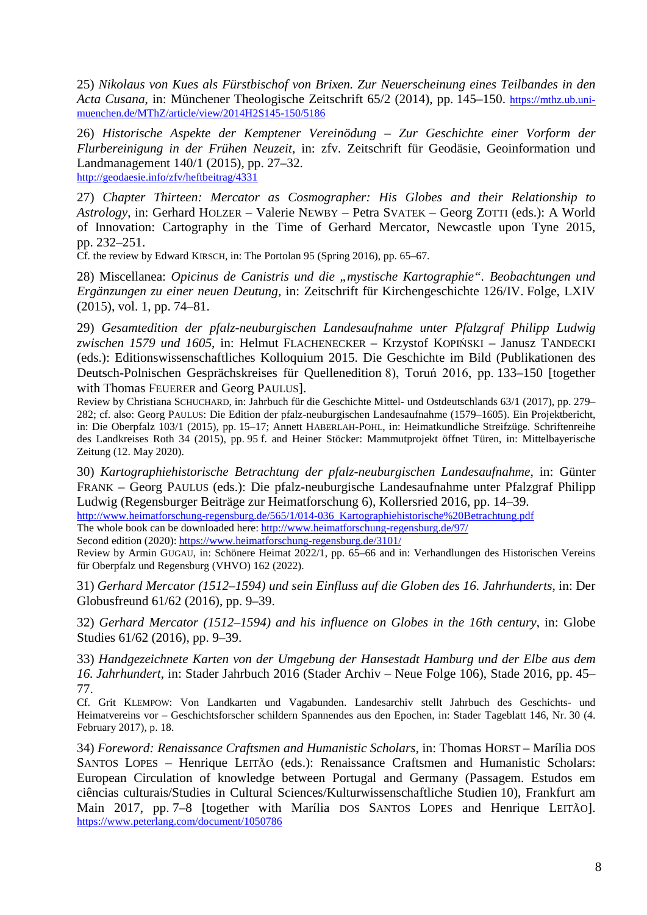25) *Nikolaus von Kues als Fürstbischof von Brixen. Zur Neuerscheinung eines Teilbandes in den Acta Cusana*, in: Münchener Theologische Zeitschrift 65/2 (2014), pp. 145–150. [https://mthz.ub.uni](https://mthz.ub.uni-muenchen.de/MThZ/article/view/2014H2S145-150/5186)[muenchen.de/MThZ/article/view/2014H2S145-150/5186](https://mthz.ub.uni-muenchen.de/MThZ/article/view/2014H2S145-150/5186)

26) *Historische Aspekte der Kemptener Vereinödung – Zur Geschichte einer Vorform der Flurbereinigung in der Frühen Neuzeit,* in: zfv. Zeitschrift für Geodäsie, Geoinformation und Landmanagement 140/1 (2015), pp. 27–32. <http://geodaesie.info/zfv/heftbeitrag/4331>

27) *Chapter Thirteen: Mercator as Cosmographer: His Globes and their Relationship to Astrology*, in: Gerhard HOLZER – Valerie NEWBY – Petra SVATEK – Georg ZOTTI (eds.): A World of Innovation: Cartography in the Time of Gerhard Mercator, Newcastle upon Tyne 2015, pp. 232–251.

Cf. the review by Edward KIRSCH, in: The Portolan 95 (Spring 2016), pp. 65–67.

28) Miscellanea: *Opicinus de Canistris und die "mystische Kartographie". Beobachtungen und Ergänzungen zu einer neuen Deutung*, in: Zeitschrift für Kirchengeschichte 126/IV. Folge, LXIV (2015), vol. 1, pp. 74–81.

29) *Gesamtedition der pfalz-neuburgischen Landesaufnahme unter Pfalzgraf Philipp Ludwig zwischen 1579 und 1605*, in: Helmut FLACHENECKER – Krzystof KOPIŃSKI – Janusz TANDECKI (eds.): Editionswissenschaftliches Kolloquium 2015. Die Geschichte im Bild (Publikationen des Deutsch-Polnischen Gesprächskreises für Quellenedition 8), Toruń 2016, pp. 133–150 [together with Thomas FEUERER and Georg PAULUS].

Review by Christiana SCHUCHARD, in: [Jahrbuch für die Geschichte Mittel-](https://www.degruyter.com/journal/key/jgmo/html) und Ostdeutschlands 63/1 (2017), pp. 279– 282; cf. also: Georg PAULUS: Die Edition der pfalz-neuburgischen Landesaufnahme (1579–1605). Ein Projektbericht, in: Die Oberpfalz 103/1 (2015), pp. 15–17; Annett HABERLAH-POHL, in: Heimatkundliche Streifzüge. Schriftenreihe des Landkreises Roth 34 (2015), pp. 95 f. and Heiner Stöcker: Mammutprojekt öffnet Türen, in: Mittelbayerische Zeitung (12. May 2020).

30) *Kartographiehistorische Betrachtung der pfalz-neuburgischen Landesaufnahme*, in: Günter FRANK – Georg PAULUS (eds.): Die pfalz-neuburgische Landesaufnahme unter Pfalzgraf Philipp Ludwig (Regensburger Beiträge zur Heimatforschung 6), Kollersried 2016, pp. 14–39.

[http://www.heimatforschung-regensburg.de/565/1/014-036\\_Kartographiehistorische%20Betrachtung.pdf](http://www.heimatforschung-regensburg.de/565/1/014-036_Kartographiehistorische%20Betrachtung.pdf) The whole book can be downloaded here[: http://www.heimatforschung-regensburg.de/97/](http://www.heimatforschung-regensburg.de/97/)

Second edition (2020):<https://www.heimatforschung-regensburg.de/3101/>

Review by Armin GUGAU, in: Schönere Heimat 2022/1, pp. 65–66 and in: Verhandlungen des Historischen Vereins für Oberpfalz und Regensburg (VHVO) 162 (2022).

31) *Gerhard Mercator (1512–1594) und sein Einfluss auf die Globen des 16. Jahrhunderts*, in: Der Globusfreund 61/62 (2016), pp. 9–39.

32) *Gerhard Mercator (1512–1594) and his influence on Globes in the 16th century*, in: Globe Studies 61/62 (2016), pp. 9–39.

33) *Handgezeichnete Karten von der Umgebung der Hansestadt Hamburg und der Elbe aus dem 16. Jahrhundert*, in: Stader Jahrbuch 2016 (Stader Archiv – Neue Folge 106), Stade 2016, pp. 45– 77.

Cf. Grit KLEMPOW: Von Landkarten und Vagabunden. Landesarchiv stellt Jahrbuch des Geschichts- und Heimatvereins vor – Geschichtsforscher schildern Spannendes aus den Epochen, in: Stader Tageblatt 146, Nr. 30 (4. February 2017), p. 18.

34) *Foreword: Renaissance Craftsmen and Humanistic Scholars*, in: Thomas HORST – Marília DOS SANTOS LOPES – Henrique LEITÃO (eds.): Renaissance Craftsmen and Humanistic Scholars: European Circulation of knowledge between Portugal and Germany (Passagem. Estudos em ciências culturais/Studies in Cultural Sciences/Kulturwissenschaftliche Studien 10), Frankfurt am Main 2017, pp. 7–8 [together with Marília DOS SANTOS LOPES and Henrique LEITÃO]. <https://www.peterlang.com/document/1050786>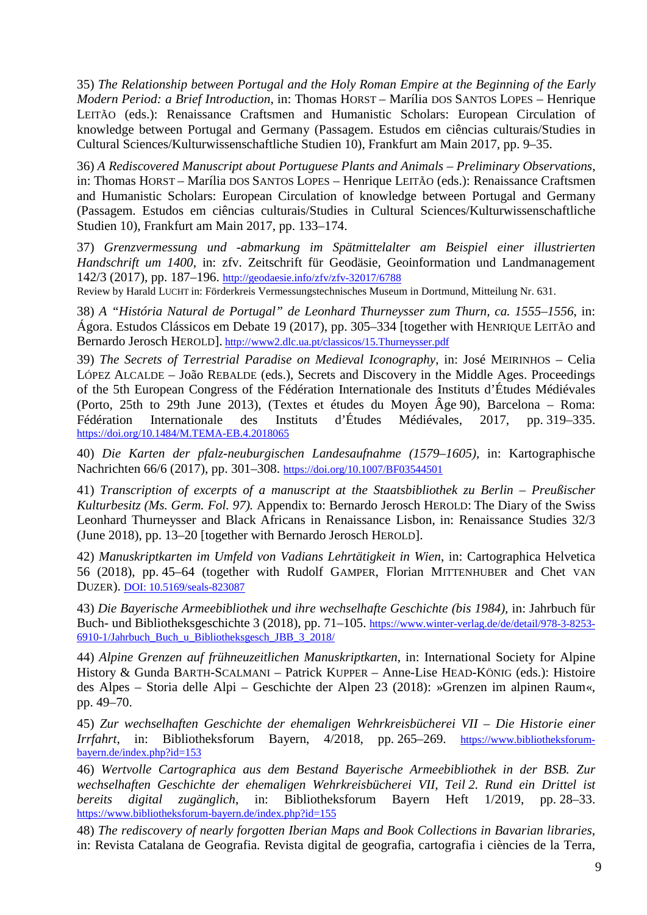35) *The Relationship between Portugal and the Holy Roman Empire at the Beginning of the Early Modern Period: a Brief Introduction*, in: Thomas HORST – Marília DOS SANTOS LOPES – Henrique LEITÃO (eds.): Renaissance Craftsmen and Humanistic Scholars: European Circulation of knowledge between Portugal and Germany (Passagem. Estudos em ciências culturais/Studies in Cultural Sciences/Kulturwissenschaftliche Studien 10), Frankfurt am Main 2017, pp. 9–35.

36) *A Rediscovered Manuscript about Portuguese Plants and Animals – Preliminary Observations*, in: Thomas HORST – Marília DOS SANTOS LOPES – Henrique LEITÃO (eds.): Renaissance Craftsmen and Humanistic Scholars: European Circulation of knowledge between Portugal and Germany (Passagem. Estudos em ciências culturais/Studies in Cultural Sciences/Kulturwissenschaftliche Studien 10), Frankfurt am Main 2017, pp. 133–174.

37) *Grenzvermessung und -abmarkung im Spätmittelalter am Beispiel einer illustrierten Handschrift um 1400*, in: zfv. Zeitschrift für Geodäsie, Geoinformation und Landmanagement 142/3 (2017), pp. 187–196. <http://geodaesie.info/zfv/zfv-32017/6788>

Review by Harald LUCHT in: Förderkreis Vermessungstechnisches Museum in Dortmund, Mitteilung Nr. 631.

38) *A "História Natural de Portugal" de Leonhard Thurneysser zum Thurn, ca. 1555*–*1556*, in: Ágora. Estudos Clássicos em Debate 19 (2017), pp. 305–334 [together with HENRIQUE LEITÃO and Bernardo Jerosch HEROLD]. <http://www2.dlc.ua.pt/classicos/15.Thurneysser.pdf>

39) *The Secrets of Terrestrial Paradise on Medieval Iconography*, in: José MEIRINHOS – Celia LÓPEZ ALCALDE – João REBALDE (eds.), Secrets and Discovery in the Middle Ages. Proceedings of the 5th European Congress of the Fédération Internationale des Instituts d'Études Médiévales (Porto, 25th to 29th June 2013), (Textes et études du Moyen Âge 90), Barcelona – Roma: Fédération Internationale des Instituts d'Études Médiévales, 2017, pp. 319–335. <https://doi.org/10.1484/M.TEMA-EB.4.2018065>

40) *Die Karten der pfalz-neuburgischen Landesaufnahme (1579*–*1605),* in: Kartographische Nachrichten 66/6 (2017), pp. 301–308. <https://doi.org/10.1007/BF03544501>

41) *Transcription of excerpts of a manuscript at the Staatsbibliothek zu Berlin – Preußischer Kulturbesitz (Ms. Germ. Fol. 97).* Appendix to: Bernardo Jerosch HEROLD: The Diary of the Swiss Leonhard Thurneysser and Black Africans in Renaissance Lisbon, in: Renaissance Studies 32/3 (June 2018), pp. 13–20 [together with Bernardo Jerosch HEROLD].

42) *Manuskriptkarten im Umfeld von Vadians Lehrtätigkeit in Wien*, in: Cartographica Helvetica 56 (2018), pp. 45–64 (together with Rudolf GAMPER, Florian MITTENHUBER and Chet VAN DUZER). [DOI: 10.5169/seals-823087](http://dx.doi.org/10.5169/seals-823087)

43) *Die Bayerische Armeebibliothek und ihre wechselhafte Geschichte (bis 1984),* in: Jahrbuch für Buch- und Bibliotheksgeschichte 3 (2018), pp. 71–105. [https://www.winter-verlag.de/de/detail/978-3-8253-](https://www.winter-verlag.de/de/detail/978-3-8253-6910-1/Jahrbuch_Buch_u_Bibliotheksgesch_JBB_3_2018/) [6910-1/Jahrbuch\\_Buch\\_u\\_Bibliotheksgesch\\_JBB\\_3\\_2018/](https://www.winter-verlag.de/de/detail/978-3-8253-6910-1/Jahrbuch_Buch_u_Bibliotheksgesch_JBB_3_2018/)

44) *Alpine Grenzen auf frühneuzeitlichen Manuskriptkarten*, in: International Society for Alpine History & Gunda BARTH-SCALMANI – Patrick KUPPER – Anne-Lise HEAD-KÖNIG (eds.): Histoire des Alpes – Storia delle Alpi – Geschichte der Alpen 23 (2018): »Grenzen im alpinen Raum«, pp. 49–70.

45) *Zur wechselhaften Geschichte der ehemaligen Wehrkreisbücherei VII – Die Historie einer Irrfahrt*, in: Bibliotheksforum Bayern, 4/2018, pp. 265–269. [https://www.bibliotheksforum](https://www.bibliotheksforum-bayern.de/index.php?id=153)[bayern.de/index.php?id=153](https://www.bibliotheksforum-bayern.de/index.php?id=153)

46) *Wertvolle Cartographica aus dem Bestand Bayerische Armeebibliothek in der BSB. Zur wechselhaften Geschichte der ehemaligen Wehrkreisbücherei VII, Teil 2. Rund ein Drittel ist bereits digital zugänglich*, in: Bibliotheksforum Bayern Heft 1/2019, pp. 28–33. <https://www.bibliotheksforum-bayern.de/index.php?id=155>

48) *The rediscovery of nearly forgotten Iberian Maps and Book Collections in Bavarian libraries*, in: Revista Catalana de Geografia. Revista digital de geografia, cartografia i ciències de la Terra,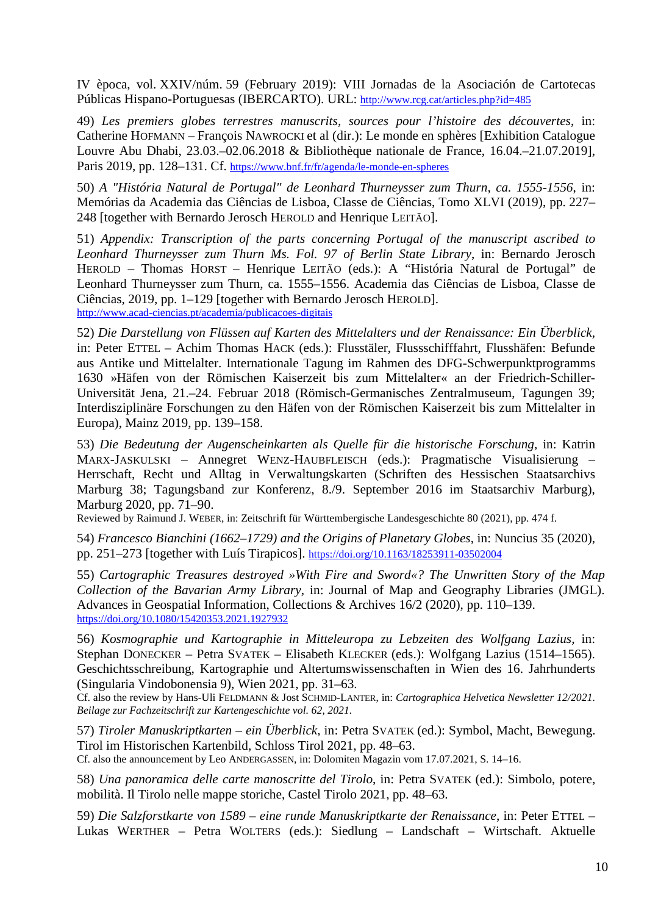IV època, vol. XXIV/núm. 59 (February 2019): VIII Jornadas de la Asociación de Cartotecas Públicas Hispano-Portuguesas (IBERCARTO). URL:<http://www.rcg.cat/articles.php?id=485>

49) *Les premiers globes terrestres manuscrits, sources pour l'histoire des découvertes*, in: Catherine HOFMANN – François NAWROCKI et al (dir.): Le monde en sphères [Exhibition Catalogue Louvre Abu Dhabi, 23.03.*–*02.06.2018 & Bibliothèque nationale de France, 16.04.*–*21.07.2019], Paris 2019, pp. 128*–*131. Cf.<https://www.bnf.fr/fr/agenda/le-monde-en-spheres>

50) *A "História Natural de Portugal" de Leonhard Thurneysser zum Thurn, ca. 1555-1556*, in: Memórias da Academia das Ciências de Lisboa, Classe de Ciências, Tomo XLVI (2019), pp. 227*–* 248 [together with Bernardo Jerosch HEROLD and Henrique LEITÃO].

51) *Appendix: Transcription of the parts concerning Portugal of the manuscript ascribed to Leonhard Thurneysser zum Thurn Ms. Fol. 97 of Berlin State Library*, in: Bernardo Jerosch HEROLD – Thomas HORST – Henrique LEITÃO (eds.): A "História Natural de Portugal" de Leonhard Thurneysser zum Thurn, ca. 1555*–*1556. Academia das Ciências de Lisboa, Classe de Ciências, 2019, pp. 1*–*129 [together with Bernardo Jerosch HEROLD]. <http://www.acad-ciencias.pt/academia/publicacoes-digitais>

52) *Die Darstellung von Flüssen auf Karten des Mittelalters und der Renaissance: Ein Überblick*, in: Peter ETTEL – Achim Thomas HACK (eds.): Flusstäler, Flussschifffahrt, Flusshäfen: Befunde aus Antike und Mittelalter. Internationale Tagung im Rahmen des DFG-Schwerpunktprogramms 1630 »Häfen von der Römischen Kaiserzeit bis zum Mittelalter« an der Friedrich-Schiller-Universität Jena, 21.–24. Februar 2018 (Römisch-Germanisches Zentralmuseum, Tagungen 39; Interdisziplinäre Forschungen zu den Häfen von der Römischen Kaiserzeit bis zum Mittelalter in Europa), Mainz 2019, pp. 139–158.

53) *Die Bedeutung der Augenscheinkarten als Quelle für die historische Forschung*, in: Katrin MARX-JASKULSKI – Annegret WENZ-HAUBFLEISCH (eds.): Pragmatische Visualisierung – Herrschaft, Recht und Alltag in Verwaltungskarten (Schriften des Hessischen Staatsarchivs Marburg 38; Tagungsband zur Konferenz, 8./9. September 2016 im Staatsarchiv Marburg), Marburg 2020, pp. 71–90.

Reviewed by Raimund J. WEBER, in: Zeitschrift für Württembergische Landesgeschichte 80 (2021), pp. 474 f.

54) *Francesco Bianchini (1662–1729) and the Origins of Planetary Globes*, in: Nuncius 35 (2020), pp. 251–273 [together with Luís Tirapicos]. <https://doi.org/10.1163/18253911-03502004>

55) *Cartographic Treasures destroyed »With Fire and Sword«? The Unwritten Story of the Map Collection of the Bavarian Army Library*, in: Journal of Map and Geography Libraries (JMGL). Advances in Geospatial Information, Collections & Archives 16/2 (2020), pp. 110–139. <https://doi.org/10.1080/15420353.2021.1927932>

56) *Kosmographie und Kartographie in Mitteleuropa zu Lebzeiten des Wolfgang Lazius,* in: Stephan DONECKER – Petra SVATEK – Elisabeth KLECKER (eds.): Wolfgang Lazius (1514–1565). Geschichtsschreibung, Kartographie und Altertumswissenschaften in Wien des 16. Jahrhunderts (Singularia Vindobonensia 9), Wien 2021, pp. 31–63.

Cf. also the review by Hans-Uli FELDMANN & Jost SCHMID-LANTER, in: *Cartographica Helvetica Newsletter 12/2021. Beilage zur Fachzeitschrift zur Kartengeschichte vol. 62, 2021.*

57) *Tiroler Manuskriptkarten – ein Überblick*, in: Petra SVATEK (ed.): Symbol, Macht, Bewegung. Tirol im Historischen Kartenbild, Schloss Tirol 2021, pp. 48–63.

Cf. also the announcement by Leo ANDERGASSEN, in: Dolomiten Magazin vom 17.07.2021, S. 14–16.

58) *Una panoramica delle carte manoscritte del Tirolo*, in: Petra SVATEK (ed.): Simbolo, potere, mobilità. Il Tirolo nelle mappe storiche, Castel Tirolo 2021, pp. 48–63.

59) *Die Salzforstkarte von 1589 – eine runde Manuskriptkarte der Renaissance*, in: Peter ETTEL – Lukas WERTHER – Petra WOLTERS (eds.): Siedlung – Landschaft – Wirtschaft. Aktuelle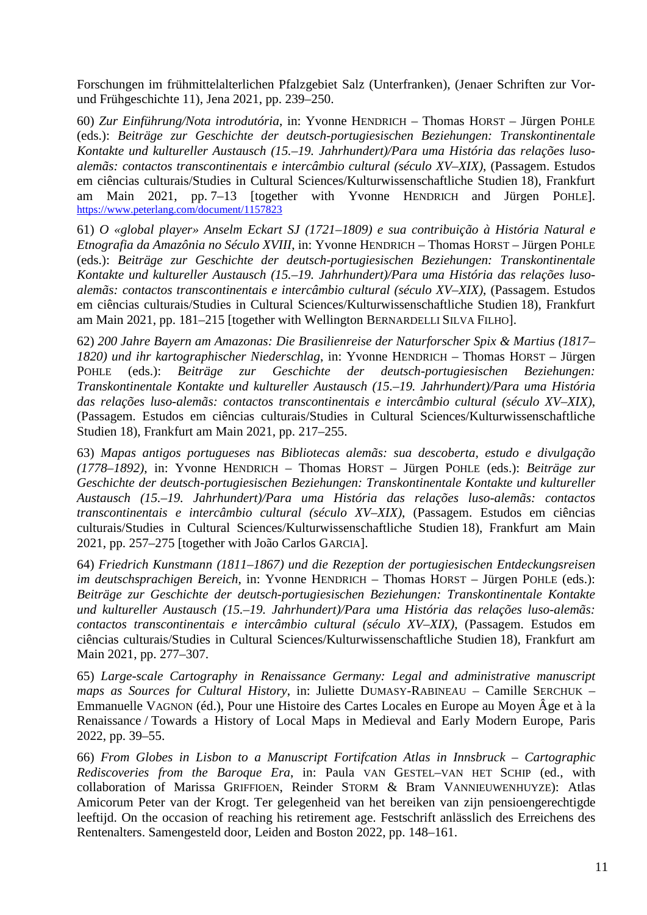Forschungen im frühmittelalterlichen Pfalzgebiet Salz (Unterfranken), (Jenaer Schriften zur Vorund Frühgeschichte 11), Jena 2021, pp. 239–250.

60) *Zur Einführung/Nota introdutória*, in: Yvonne HENDRICH – Thomas HORST – Jürgen POHLE (eds.): *Beiträge zur Geschichte der deutsch-portugiesischen Beziehungen: Transkontinentale Kontakte und kultureller Austausch (15.–19. Jahrhundert)/Para uma História das relações lusoalemãs: contactos transcontinentais e intercâmbio cultural (século XV*–*XIX)*, (Passagem. Estudos em ciências culturais/Studies in Cultural Sciences/Kulturwissenschaftliche Studien 18), Frankfurt am Main 2021, pp. 7–13 [together with Yvonne HENDRICH and Jürgen POHLE]. <https://www.peterlang.com/document/1157823>

61) *O «global player» Anselm Eckart SJ (1721–1809) e sua contribuição à História Natural e Etnografia da Amazônia no Século XVIII*, in: Yvonne HENDRICH – Thomas HORST – Jürgen POHLE (eds.): *Beiträge zur Geschichte der deutsch-portugiesischen Beziehungen: Transkontinentale Kontakte und kultureller Austausch (15.–19. Jahrhundert)/Para uma História das relações lusoalemãs: contactos transcontinentais e intercâmbio cultural (século XV*–*XIX)*, (Passagem. Estudos em ciências culturais/Studies in Cultural Sciences/Kulturwissenschaftliche Studien 18), Frankfurt am Main 2021, pp. 181–215 [together with Wellington BERNARDELLI SILVA FILHO].

62) *200 Jahre Bayern am Amazonas: Die Brasilienreise der Naturforscher Spix & Martius (1817– 1820) und ihr kartographischer Niederschlag*, in: Yvonne HENDRICH – Thomas HORST – Jürgen POHLE (eds.): *Beiträge zur Geschichte der deutsch-portugiesischen Beziehungen: Transkontinentale Kontakte und kultureller Austausch (15.–19. Jahrhundert)/Para uma História das relações luso-alemãs: contactos transcontinentais e intercâmbio cultural (século XV*–*XIX)*, (Passagem. Estudos em ciências culturais/Studies in Cultural Sciences/Kulturwissenschaftliche Studien 18), Frankfurt am Main 2021, pp. 217–255.

63) *Mapas antigos portugueses nas Bibliotecas alemãs: sua descoberta, estudo e divulgação (1778–1892)*, in: Yvonne HENDRICH – Thomas HORST – Jürgen POHLE (eds.): *Beiträge zur Geschichte der deutsch-portugiesischen Beziehungen: Transkontinentale Kontakte und kultureller Austausch (15.–19. Jahrhundert)/Para uma História das relações luso-alemãs: contactos transcontinentais e intercâmbio cultural (século XV*–*XIX)*, (Passagem. Estudos em ciências culturais/Studies in Cultural Sciences/Kulturwissenschaftliche Studien 18), Frankfurt am Main 2021, pp. 257–275 [together with João Carlos GARCIA].

64) *Friedrich Kunstmann (1811–1867) und die Rezeption der portugiesischen Entdeckungsreisen im deutschsprachigen Bereich*, in: Yvonne HENDRICH – Thomas HORST – Jürgen POHLE (eds.): *Beiträge zur Geschichte der deutsch-portugiesischen Beziehungen: Transkontinentale Kontakte und kultureller Austausch (15.–19. Jahrhundert)/Para uma História das relações luso-alemãs: contactos transcontinentais e intercâmbio cultural (século XV*–*XIX)*, (Passagem. Estudos em ciências culturais/Studies in Cultural Sciences/Kulturwissenschaftliche Studien 18), Frankfurt am Main 2021, pp. 277–307.

65) *Large-scale Cartography in Renaissance Germany: Legal and administrative manuscript maps as Sources for Cultural History*, in: Juliette DUMASY-RABINEAU – Camille SERCHUK – Emmanuelle VAGNON (éd.), Pour une Histoire des Cartes Locales en Europe au Moyen Âge et à la Renaissance / Towards a History of Local Maps in Medieval and Early Modern Europe, Paris 2022, pp. 39–55.

66) *From Globes in Lisbon to a Manuscript Fortifcation Atlas in Innsbruck – Cartographic Rediscoveries from the Baroque Era*, in: Paula VAN GESTEL–VAN HET SCHIP (ed., with collaboration of Marissa GRIFFIOEN, Reinder STORM & Bram VANNIEUWENHUYZE): Atlas Amicorum Peter van der Krogt. Ter gelegenheid van het bereiken van zijn pensioengerechtigde leeftijd. On the occasion of reaching his retirement age. Festschrift anlässlich des Erreichens des Rentenalters. Samengesteld door, Leiden and Boston 2022, pp. 148–161.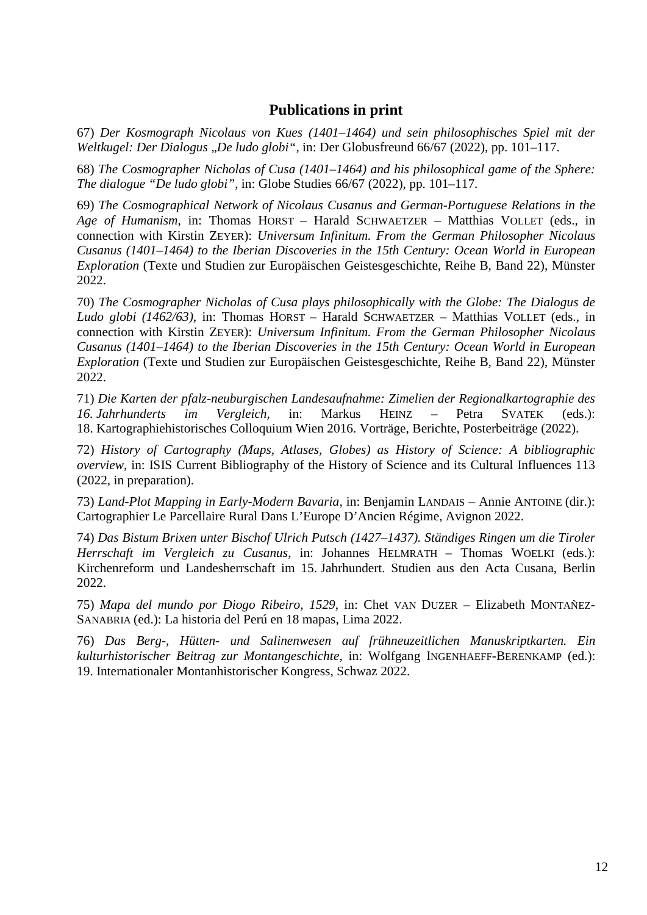## **Publications in print**

67) *Der Kosmograph Nicolaus von Kues (1401–1464) und sein philosophisches Spiel mit der Weltkugel: Der Dialogus "De ludo globi"*, in: Der Globusfreund 66/67 (2022), pp. 101–117.

68) *The Cosmographer Nicholas of Cusa (1401–1464) and his philosophical game of the Sphere: The dialogue "De ludo globi"*, in: Globe Studies 66/67 (2022), pp. 101–117.

69) *The Cosmographical Network of Nicolaus Cusanus and German-Portuguese Relations in the Age of Humanism*, in: Thomas HORST – Harald SCHWAETZER – Matthias VOLLET (eds., in connection with Kirstin ZEYER): *Universum Infinitum. From the German Philosopher Nicolaus Cusanus (1401–1464) to the Iberian Discoveries in the 15th Century: Ocean World in European Exploration* (Texte und Studien zur Europäischen Geistesgeschichte, Reihe B, Band 22), Münster 2022.

70) *The Cosmographer Nicholas of Cusa plays philosophically with the Globe: The Dialogus de Ludo globi (1462/63)*, in: Thomas HORST – Harald SCHWAETZER – Matthias VOLLET (eds., in connection with Kirstin ZEYER): *Universum Infinitum. From the German Philosopher Nicolaus Cusanus (1401–1464) to the Iberian Discoveries in the 15th Century: Ocean World in European Exploration* (Texte und Studien zur Europäischen Geistesgeschichte, Reihe B, Band 22), Münster 2022.

71) *Die Karten der pfalz-neuburgischen Landesaufnahme: Zimelien der Regionalkartographie des 16. Jahrhunderts im Vergleich,* in: Markus HEINZ – Petra SVATEK (eds.): 18. Kartographiehistorisches Colloquium Wien 2016. Vorträge, Berichte, Posterbeiträge (2022).

72) *History of Cartography (Maps, Atlases, Globes) as History of Science: A bibliographic overview*, in: ISIS Current Bibliography of the History of Science and its Cultural Influences 113 (2022, in preparation).

73) *Land-Plot Mapping in Early-Modern Bavaria,* in: Benjamin LANDAIS – Annie ANTOINE (dir.): Cartographier Le Parcellaire Rural Dans L'Europe D'Ancien Régime, Avignon 2022.

74) *Das Bistum Brixen unter Bischof Ulrich Putsch (1427–1437). Ständiges Ringen um die Tiroler Herrschaft im Vergleich zu Cusanus*, in: Johannes HELMRATH – Thomas WOELKI (eds.): Kirchenreform und Landesherrschaft im 15. Jahrhundert. Studien aus den Acta Cusana, Berlin 2022.

75) *Mapa del mundo por Diogo Ribeiro, 1529*, in: Chet VAN DUZER – Elizabeth MONTAÑEZ-SANABRIA (ed.): La historia del Perú en 18 mapas, Lima 2022.

76) *Das Berg-, Hütten- und Salinenwesen auf frühneuzeitlichen Manuskriptkarten. Ein kulturhistorischer Beitrag zur Montangeschichte*, in: Wolfgang INGENHAEFF-BERENKAMP (ed.): 19. Internationaler Montanhistorischer Kongress, Schwaz 2022.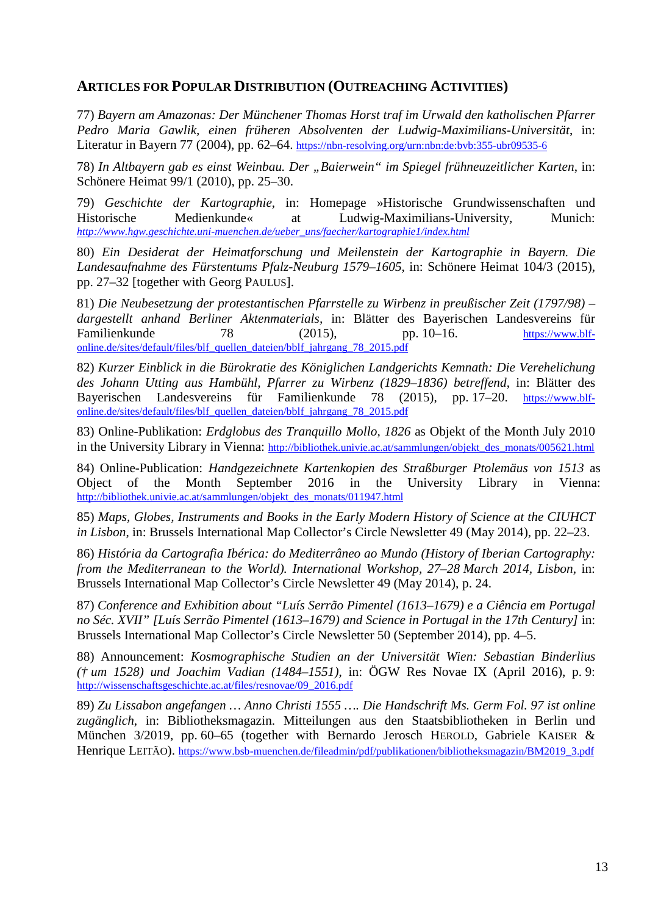## **ARTICLES FOR POPULAR DISTRIBUTION (OUTREACHING ACTIVITIES)**

77) *Bayern am Amazonas: Der Münchener Thomas Horst traf im Urwald den katholischen Pfarrer Pedro Maria Gawlik, einen früheren Absolventen der Ludwig-Maximilians-Universität*, in: Literatur in Bayern 77 (2004), pp. 62–64. <https://nbn-resolving.org/urn:nbn:de:bvb:355-ubr09535-6>

78) *In Altbayern gab es einst Weinbau. Der "Baierwein" im Spiegel frühneuzeitlicher Karten*, in: Schönere Heimat 99/1 (2010), pp. 25–30.

79) *Geschichte der Kartographie*, in: Homepage »Historische Grundwissenschaften und Historische Medienkunde« at Ludwig-Maximilians-University, Munich: *[http://www.hgw.geschichte.uni-muenchen.de/ueber\\_uns/faecher/kartographie1/index.html](http://www.hgw.geschichte.uni-muenchen.de/ueber_uns/faecher/kartographie1/index.html)*

80) *Ein Desiderat der Heimatforschung und Meilenstein der Kartographie in Bayern. Die Landesaufnahme des Fürstentums Pfalz-Neuburg 1579–1605*, in: Schönere Heimat 104/3 (2015), pp. 27–32 [together with Georg PAULUS].

81) *Die Neubesetzung der protestantischen Pfarrstelle zu Wirbenz in preußischer Zeit (1797/98) – dargestellt anhand Berliner Aktenmaterials,* in: Blätter des Bayerischen Landesvereins für Familienkunde 78 (2015), pp. 10–16. [https://www.blf](https://www.blf-online.de/sites/default/files/blf_quellen_dateien/bblf_jahrgang_78_2015.pdf)[online.de/sites/default/files/blf\\_quellen\\_dateien/bblf\\_jahrgang\\_78\\_2015.pdf](https://www.blf-online.de/sites/default/files/blf_quellen_dateien/bblf_jahrgang_78_2015.pdf)

82) *Kurzer Einblick in die Bürokratie des Königlichen Landgerichts Kemnath: Die Verehelichung des Johann Utting aus Hambühl, Pfarrer zu Wirbenz (1829–1836) betreffend*, in: Blätter des Bayerischen Landesvereins für Familienkunde 78 (2015), pp. 17–20. [https://www.blf](https://www.blf-online.de/sites/default/files/blf_quellen_dateien/bblf_jahrgang_78_2015.pdf)[online.de/sites/default/files/blf\\_quellen\\_dateien/bblf\\_jahrgang\\_78\\_2015.pdf](https://www.blf-online.de/sites/default/files/blf_quellen_dateien/bblf_jahrgang_78_2015.pdf)

83) Online-Publikation: *Erdglobus des Tranquillo Mollo, 1826* as Objekt of the Month July 2010 in the University Library in Vienna: [http://bibliothek.univie.ac.at/sammlungen/objekt\\_des\\_monats/005621.html](http://bibliothek.univie.ac.at/sammlungen/objekt_des_monats/005621.html)

84) Online-Publication: *Handgezeichnete Kartenkopien des Straßburger Ptolemäus von 1513* as Object of the Month September 2016 in the University Library in Vienna: [http://bibliothek.univie.ac.at/sammlungen/objekt\\_des\\_monats/011947.html](http://bibliothek.univie.ac.at/sammlungen/objekt_des_monats/011947.html)

85) *Maps, Globes, Instruments and Books in the Early Modern History of Science at the CIUHCT in Lisbon*, in: Brussels International Map Collector's Circle Newsletter 49 (May 2014), pp. 22–23.

86) *História da Cartografia Ibérica: do Mediterrâneo ao Mundo (History of Iberian Cartography: from the Mediterranean to the World). International Workshop, 27–28 March 2014, Lisbon,* in: Brussels International Map Collector's Circle Newsletter 49 (May 2014), p. 24.

87) *Conference and Exhibition about "Luís Serrão Pimentel (1613*–*1679) e a Ciência em Portugal no Séc. XVII" [Luís Serrão Pimentel (1613*–*1679) and Science in Portugal in the 17th Century]* in: Brussels International Map Collector's Circle Newsletter 50 (September 2014), pp. 4–5.

88) Announcement: *Kosmographische Studien an der Universität Wien: Sebastian Binderlius († um 1528) und Joachim Vadian (1484–1551)*, in: ÖGW Res Novae IX (April 2016), p. 9: [http://wissenschaftsgeschichte.ac.at/files/resnovae/09\\_2016.pdf](http://wissenschaftsgeschichte.ac.at/files/resnovae/09_2016.pdf)

89) *Zu Lissabon angefangen … Anno Christi 1555 …. Die Handschrift Ms. Germ Fol. 97 ist online zugänglich*, in: Bibliotheksmagazin. Mitteilungen aus den Staatsbibliotheken in Berlin und München 3/2019, pp. 60*–*65 (together with Bernardo Jerosch HEROLD, Gabriele KAISER & Henrique LEITÃO). [https://www.bsb-muenchen.de/fileadmin/pdf/publikationen/bibliotheksmagazin/BM2019\\_3.pdf](https://www.bsb-muenchen.de/fileadmin/pdf/publikationen/bibliotheksmagazin/BM2019_3.pdf)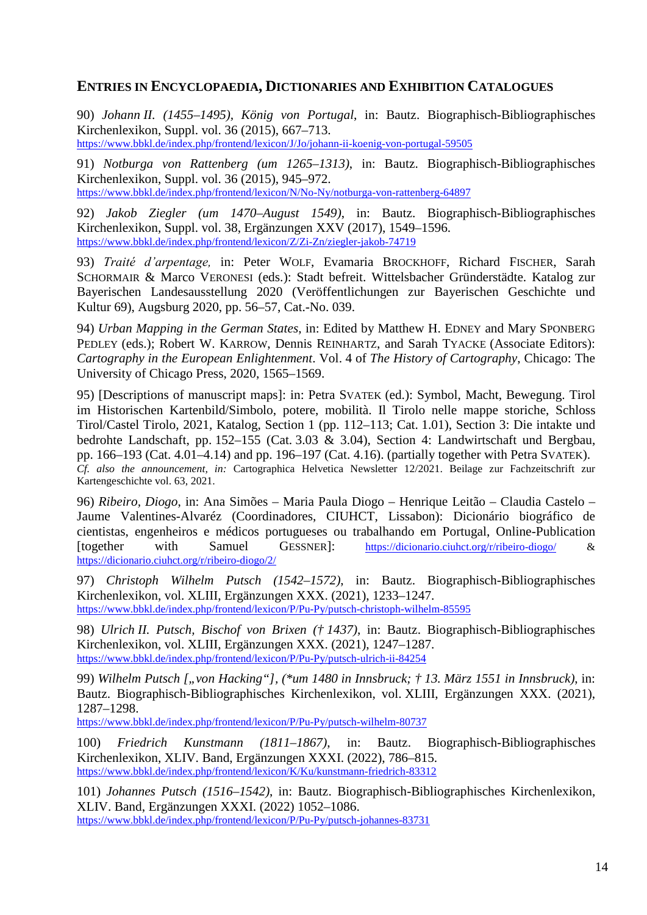## **ENTRIES IN ENCYCLOPAEDIA, DICTIONARIES AND EXHIBITION CATALOGUES**

90) *Johann II. (1455*–*1495), König von Portugal*, in: Bautz. Biographisch-Bibliographisches Kirchenlexikon, Suppl. vol. 36 (2015), 667–713. <https://www.bbkl.de/index.php/frontend/lexicon/J/Jo/johann-ii-koenig-von-portugal-59505>

91) *Notburga von Rattenberg (um 1265–1313)*, in: Bautz. Biographisch-Bibliographisches Kirchenlexikon, Suppl. vol. 36 (2015), 945–972. <https://www.bbkl.de/index.php/frontend/lexicon/N/No-Ny/notburga-von-rattenberg-64897>

92) *Jakob Ziegler (um 1470–August 1549)*, in: Bautz. Biographisch-Bibliographisches Kirchenlexikon, Suppl. vol. 38, Ergänzungen XXV (2017), 1549–1596. <https://www.bbkl.de/index.php/frontend/lexicon/Z/Zi-Zn/ziegler-jakob-74719>

93) *Traité d'arpentage,* in: Peter WOLF, Evamaria BROCKHOFF, Richard FISCHER, Sarah SCHORMAIR & Marco VERONESI (eds.): Stadt befreit. Wittelsbacher Gründerstädte. Katalog zur Bayerischen Landesausstellung 2020 (Veröffentlichungen zur Bayerischen Geschichte und Kultur 69), Augsburg 2020, pp. 56*–*57, Cat.-No. 039.

94) *Urban Mapping in the German States*, in: Edited by Matthew H. EDNEY and Mary SPONBERG PEDLEY (eds.); Robert W. KARROW, Dennis REINHARTZ, and Sarah TYACKE (Associate Editors): *Cartography in the European Enlightenment*. Vol. 4 of *The History of Cartography*, Chicago: The University of Chicago Press, 2020, 1565–1569.

95) [Descriptions of manuscript maps]: in: Petra SVATEK (ed.): Symbol, Macht, Bewegung. Tirol im Historischen Kartenbild/Simbolo, potere, mobilità. Il Tirolo nelle mappe storiche, Schloss Tirol/Castel Tirolo, 2021, Katalog, Section 1 (pp. 112*–*113; Cat. 1.01), Section 3: Die intakte und bedrohte Landschaft, pp. 152–155 (Cat. 3.03 & 3.04), Section 4: Landwirtschaft und Bergbau, pp. 166–193 (Cat. 4.01–4.14) and pp. 196–197 (Cat. 4.16). (partially together with Petra SVATEK). *Cf. also the announcement, in:* Cartographica Helvetica Newsletter 12/2021. Beilage zur Fachzeitschrift zur Kartengeschichte vol. 63, 2021.

96) *Ribeiro, Diogo*, in: Ana Simões – Maria Paula Diogo – Henrique Leitão – Claudia Castelo – Jaume Valentines-Alvaréz (Coordinadores, CIUHCT, Lissabon): Dicionário biográfico de cientistas, engenheiros e médicos portugueses ou trabalhando em Portugal, Online-Publication [together with Samuel GESSNER]: <https://dicionario.ciuhct.org/r/ribeiro-diogo/> & <https://dicionario.ciuhct.org/r/ribeiro-diogo/2/>

97) *Christoph Wilhelm Putsch (1542–1572)*, in: Bautz. Biographisch-Bibliographisches Kirchenlexikon, vol. XLIII, Ergänzungen XXX. (2021), 1233–1247. <https://www.bbkl.de/index.php/frontend/lexicon/P/Pu-Py/putsch-christoph-wilhelm-85595>

98) *Ulrich II. Putsch, Bischof von Brixen († 1437)*, in: Bautz. Biographisch-Bibliographisches Kirchenlexikon, vol. XLIII, Ergänzungen XXX. (2021), 1247–1287. <https://www.bbkl.de/index.php/frontend/lexicon/P/Pu-Py/putsch-ulrich-ii-84254>

99) *Wilhelm Putsch ["von Hacking"], (\*um 1480 in Innsbruck; † 13. März 1551 in Innsbruck)*, in: Bautz. Biographisch-Bibliographisches Kirchenlexikon, vol. XLIII, Ergänzungen XXX. (2021), 1287–1298.

<https://www.bbkl.de/index.php/frontend/lexicon/P/Pu-Py/putsch-wilhelm-80737>

100) *Friedrich Kunstmann (1811–1867)*, in: Bautz. Biographisch-Bibliographisches Kirchenlexikon, XLIV. Band, Ergänzungen XXXI. (2022), 786–815. <https://www.bbkl.de/index.php/frontend/lexicon/K/Ku/kunstmann-friedrich-83312>

101) *Johannes Putsch (1516–1542)*, in: Bautz. Biographisch-Bibliographisches Kirchenlexikon, XLIV. Band, Ergänzungen XXXI. (2022) 1052–1086. <https://www.bbkl.de/index.php/frontend/lexicon/P/Pu-Py/putsch-johannes-83731>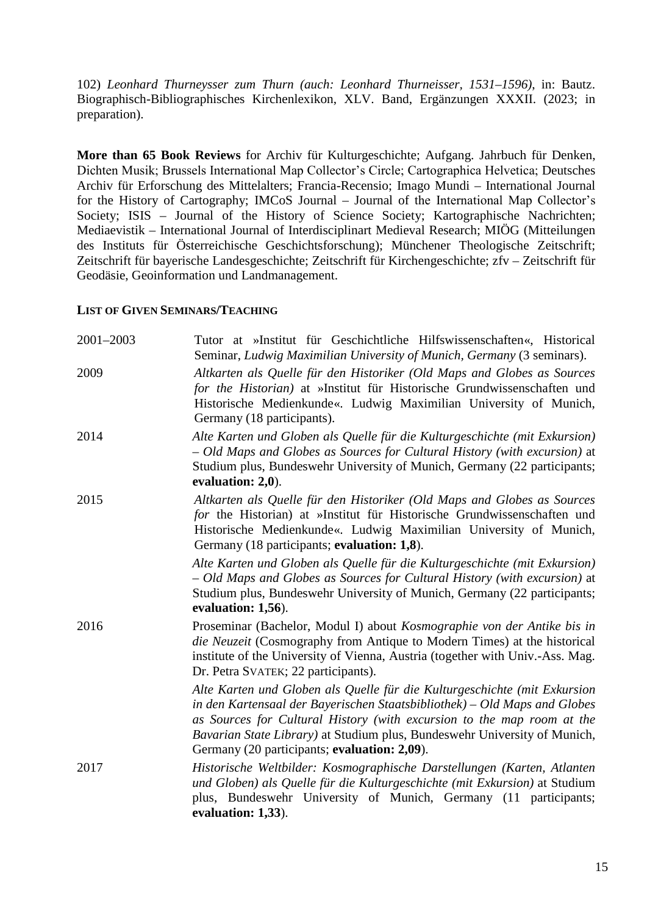102) *Leonhard Thurneysser zum Thurn (auch: Leonhard Thurneisser, 1531–1596)*, in: Bautz. Biographisch-Bibliographisches Kirchenlexikon, XLV. Band, Ergänzungen XXXII. (2023; in preparation).

**More than 65 Book Reviews** for Archiv für Kulturgeschichte; Aufgang. Jahrbuch für Denken, Dichten Musik; Brussels International Map Collector's Circle; Cartographica Helvetica; Deutsches Archiv für Erforschung des Mittelalters; Francia-Recensio; Imago Mundi – International Journal for the History of Cartography; IMCoS Journal – Journal of the International Map Collector's Society; ISIS – Journal of the History of Science Society; Kartographische Nachrichten; Mediaevistik – International Journal of Interdisciplinart Medieval Research; MIÖG (Mitteilungen des Instituts für Österreichische Geschichtsforschung); Münchener Theologische Zeitschrift; Zeitschrift für bayerische Landesgeschichte; Zeitschrift für Kirchengeschichte; zfv – Zeitschrift für Geodäsie, Geoinformation und Landmanagement.

#### **LIST OF GIVEN SEMINARS/TEACHING**

| 2001-2003 | Tutor at »Institut für Geschichtliche Hilfswissenschaften«, Historical<br>Seminar, Ludwig Maximilian University of Munich, Germany (3 seminars).                                                                                                                                                                                                              |
|-----------|---------------------------------------------------------------------------------------------------------------------------------------------------------------------------------------------------------------------------------------------------------------------------------------------------------------------------------------------------------------|
| 2009      | Altkarten als Quelle für den Historiker (Old Maps and Globes as Sources<br>for the Historian) at »Institut für Historische Grundwissenschaften und<br>Historische Medienkunde«. Ludwig Maximilian University of Munich,<br>Germany (18 participants).                                                                                                         |
| 2014      | Alte Karten und Globen als Quelle für die Kulturgeschichte (mit Exkursion)<br>- Old Maps and Globes as Sources for Cultural History (with excursion) at<br>Studium plus, Bundeswehr University of Munich, Germany (22 participants;<br>evaluation: 2,0).                                                                                                      |
| 2015      | Altkarten als Quelle für den Historiker (Old Maps and Globes as Sources<br>for the Historian) at »Institut für Historische Grundwissenschaften und<br>Historische Medienkunde«. Ludwig Maximilian University of Munich,<br>Germany (18 participants; evaluation: 1,8).                                                                                        |
|           | Alte Karten und Globen als Quelle für die Kulturgeschichte (mit Exkursion)<br>- Old Maps and Globes as Sources for Cultural History (with excursion) at<br>Studium plus, Bundeswehr University of Munich, Germany (22 participants;<br>evaluation: 1,56).                                                                                                     |
| 2016      | Proseminar (Bachelor, Modul I) about Kosmographie von der Antike bis in<br><i>die Neuzeit</i> (Cosmography from Antique to Modern Times) at the historical<br>institute of the University of Vienna, Austria (together with Univ.-Ass. Mag.<br>Dr. Petra SVATEK; 22 participants).                                                                            |
|           | Alte Karten und Globen als Quelle für die Kulturgeschichte (mit Exkursion<br>in den Kartensaal der Bayerischen Staatsbibliothek) – Old Maps and Globes<br>as Sources for Cultural History (with excursion to the map room at the<br>Bavarian State Library) at Studium plus, Bundeswehr University of Munich,<br>Germany (20 participants; evaluation: 2,09). |
| 2017      | Historische Weltbilder: Kosmographische Darstellungen (Karten, Atlanten<br>und Globen) als Quelle für die Kulturgeschichte (mit Exkursion) at Studium<br>plus, Bundeswehr University of Munich, Germany (11 participants;<br>evaluation: 1,33).                                                                                                               |